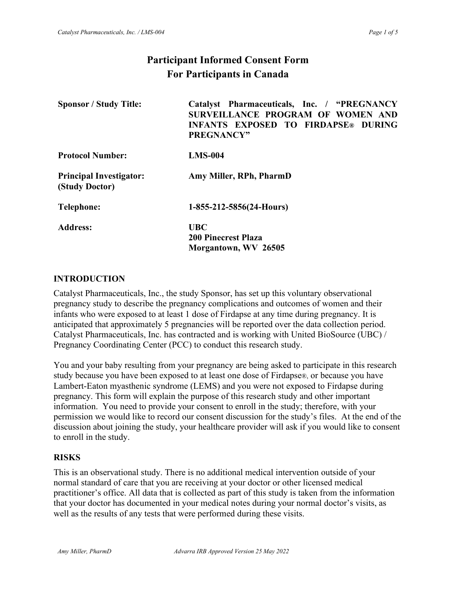# **Participant Informed Consent Form For Participants in Canada**

| <b>Sponsor / Study Title:</b>                    | Catalyst Pharmaceuticals, Inc. / "PREGNANCY<br>SURVEILLANCE PROGRAM OF WOMEN AND<br><b>INFANTS EXPOSED TO FIRDAPSE® DURING</b><br><b>PREGNANCY"</b> |
|--------------------------------------------------|-----------------------------------------------------------------------------------------------------------------------------------------------------|
| <b>Protocol Number:</b>                          | $LMS-004$                                                                                                                                           |
| <b>Principal Investigator:</b><br>(Study Doctor) | Amy Miller, RPh, PharmD                                                                                                                             |
| Telephone:                                       | $1-855-212-5856(24-Hours)$                                                                                                                          |
| <b>Address:</b>                                  | <b>UBC</b><br><b>200 Pinecrest Plaza</b><br>Morgantown, WV 26505                                                                                    |

#### **INTRODUCTION**

Catalyst Pharmaceuticals, Inc., the study Sponsor, has set up this voluntary observational pregnancy study to describe the pregnancy complications and outcomes of women and their infants who were exposed to at least 1 dose of Firdapse at any time during pregnancy. It is anticipated that approximately 5 pregnancies will be reported over the data collection period. Catalyst Pharmaceuticals, Inc. has contracted and is working with United BioSource (UBC) / Pregnancy Coordinating Center (PCC) to conduct this research study.

You and your baby resulting from your pregnancy are being asked to participate in this research study because you have been exposed to at least one dose of Firdapse®, or because you have Lambert-Eaton myasthenic syndrome (LEMS) and you were not exposed to Firdapse during pregnancy. This form will explain the purpose of this research study and other important information. You need to provide your consent to enroll in the study; therefore, with your permission we would like to record our consent discussion for the study's files. At the end of the discussion about joining the study, your healthcare provider will ask if you would like to consent to enroll in the study.

#### **RISKS**

This is an observational study. There is no additional medical intervention outside of your normal standard of care that you are receiving at your doctor or other licensed medical practitioner's office. All data that is collected as part of this study is taken from the information that your doctor has documented in your medical notes during your normal doctor's visits, as well as the results of any tests that were performed during these visits.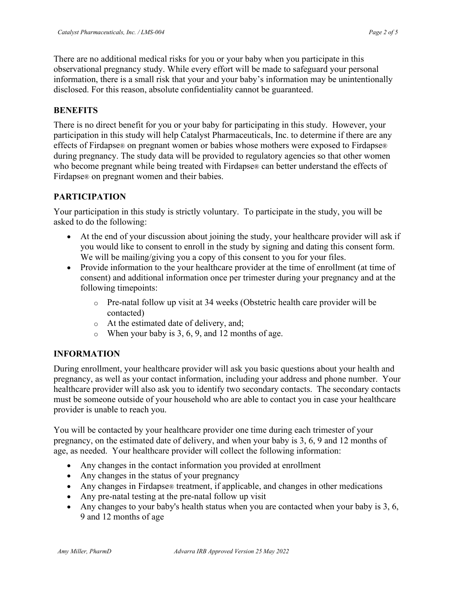There are no additional medical risks for you or your baby when you participate in this observational pregnancy study. While every effort will be made to safeguard your personal information, there is a small risk that your and your baby's information may be unintentionally disclosed. For this reason, absolute confidentiality cannot be guaranteed.

#### **BENEFITS**

There is no direct benefit for you or your baby for participating in this study. However, your participation in this study will help Catalyst Pharmaceuticals, Inc. to determine if there are any effects of Firdapse® on pregnant women or babies whose mothers were exposed to Firdapse® during pregnancy. The study data will be provided to regulatory agencies so that other women who become pregnant while being treated with Firdapse® can better understand the effects of Firdapse® on pregnant women and their babies.

## **PARTICIPATION**

Your participation in this study is strictly voluntary. To participate in the study, you will be asked to do the following:

- At the end of your discussion about joining the study, your healthcare provider will ask if you would like to consent to enroll in the study by signing and dating this consent form. We will be mailing/giving you a copy of this consent to you for your files.
- Provide information to the your healthcare provider at the time of enrollment (at time of consent) and additional information once per trimester during your pregnancy and at the following timepoints:
	- $\circ$  Pre-natal follow up visit at 34 weeks (Obstetric health care provider will be contacted)
	- o At the estimated date of delivery, and;
	- $\circ$  When your baby is 3, 6, 9, and 12 months of age.

## **INFORMATION**

During enrollment, your healthcare provider will ask you basic questions about your health and pregnancy, as well as your contact information, including your address and phone number. Your healthcare provider will also ask you to identify two secondary contacts. The secondary contacts must be someone outside of your household who are able to contact you in case your healthcare provider is unable to reach you.

You will be contacted by your healthcare provider one time during each trimester of your pregnancy, on the estimated date of delivery, and when your baby is 3, 6, 9 and 12 months of age, as needed. Your healthcare provider will collect the following information:

- Any changes in the contact information you provided at enrollment
- Any changes in the status of your pregnancy
- Any changes in Firdapse® treatment, if applicable, and changes in other medications
- Any pre-natal testing at the pre-natal follow up visit
- Any changes to your baby's health status when you are contacted when your baby is 3, 6, 9 and 12 months of age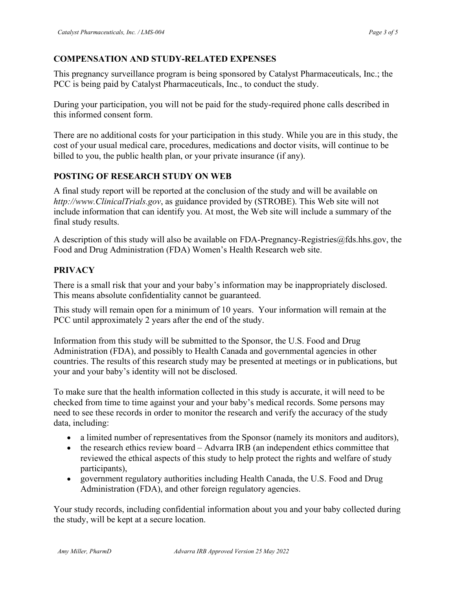## **COMPENSATION AND STUDY-RELATED EXPENSES**

This pregnancy surveillance program is being sponsored by Catalyst Pharmaceuticals, Inc.; the PCC is being paid by Catalyst Pharmaceuticals, Inc., to conduct the study.

During your participation, you will not be paid for the study-required phone calls described in this informed consent form.

There are no additional costs for your participation in this study. While you are in this study, the cost of your usual medical care, procedures, medications and doctor visits, will continue to be billed to you, the public health plan, or your private insurance (if any).

### **POSTING OF RESEARCH STUDY ON WEB**

A final study report will be reported at the conclusion of the study and will be available on *http://www.ClinicalTrials.gov*, as guidance provided by (STROBE). This Web site will not include information that can identify you. At most, the Web site will include a summary of the final study results.

A description of this study will also be available on FDA-Pregnancy-Registries@fds.hhs.gov, the Food and Drug Administration (FDA) Women's Health Research web site.

## **PRIVACY**

There is a small risk that your and your baby's information may be inappropriately disclosed. This means absolute confidentiality cannot be guaranteed.

This study will remain open for a minimum of 10 years. Your information will remain at the PCC until approximately 2 years after the end of the study.

Information from this study will be submitted to the Sponsor, the U.S. Food and Drug Administration (FDA), and possibly to Health Canada and governmental agencies in other countries. The results of this research study may be presented at meetings or in publications, but your and your baby's identity will not be disclosed.

To make sure that the health information collected in this study is accurate, it will need to be checked from time to time against your and your baby's medical records. Some persons may need to see these records in order to monitor the research and verify the accuracy of the study data, including:

- a limited number of representatives from the Sponsor (namely its monitors and auditors),
- the research ethics review board Advarra IRB (an independent ethics committee that reviewed the ethical aspects of this study to help protect the rights and welfare of study participants),
- government regulatory authorities including Health Canada, the U.S. Food and Drug Administration (FDA), and other foreign regulatory agencies.

Your study records, including confidential information about you and your baby collected during the study, will be kept at a secure location.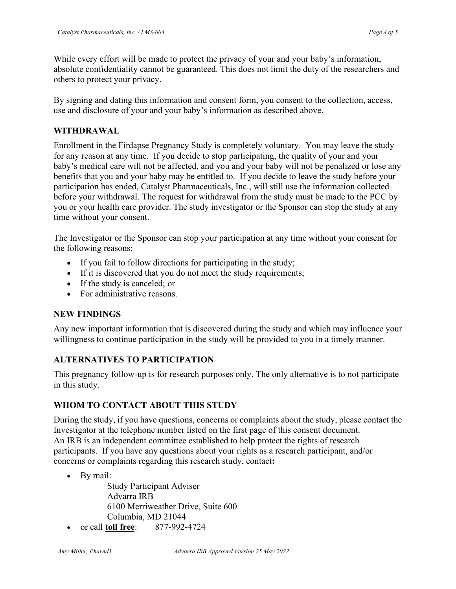While every effort will be made to protect the privacy of your and your baby's information, absolute confidentiality cannot be guaranteed. This does not limit the duty of the researchers and others to protect your privacy.

By signing and dating this information and consent form, you consent to the collection, access, use and disclosure of your and your baby's information as described above.

## **WITHDRAWAL**

Enrollment in the Firdapse Pregnancy Study is completely voluntary. You may leave the study for any reason at any time. If you decide to stop participating, the quality of your and your baby's medical care will not be affected, and you and your baby will not be penalized or lose any benefits that you and your baby may be entitled to. If you decide to leave the study before your participation has ended, Catalyst Pharmaceuticals, Inc., will still use the information collected before your withdrawal. The request for withdrawal from the study must be made to the PCC by you or your health care provider. The study investigator or the Sponsor can stop the study at any time without your consent.

The Investigator or the Sponsor can stop your participation at any time without your consent for the following reasons:

- If you fail to follow directions for participating in the study;
- If it is discovered that you do not meet the study requirements;
- If the study is canceled; or
- For administrative reasons.

#### **NEW FINDINGS**

Any new important information that is discovered during the study and which may influence your willingness to continue participation in the study will be provided to you in a timely manner.

## **ALTERNATIVES TO PARTICIPATION**

This pregnancy follow-up is for research purposes only. The only alternative is to not participate in this study.

## **WHOM TO CONTACT ABOUT THIS STUDY**

During the study, if you have questions, concerns or complaints about the study, please contact the Investigator at the telephone number listed on the first page of this consent document. An IRB is an independent committee established to help protect the rights of research participants. If you have any questions about your rights as a research participant, and/or concerns or complaints regarding this research study, contact**:**

• By mail:

Study Participant Adviser Advarra IRB 6100 Merriweather Drive, Suite 600 Columbia, MD 21044

• or call **toll free**: 877-992-4724